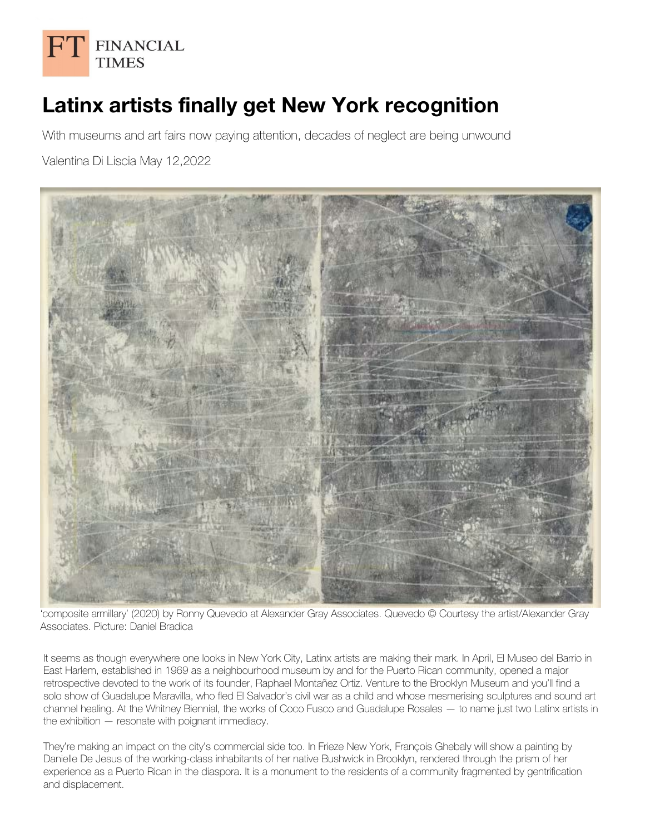

## **Latinx artists finally get New York recognition**

With museums and art fairs now paying attention, decades of neglect are being unwound

Valentina Di Liscia May 12,2022



'composite armillary' (2020) by Ronny Quevedo at Alexander Gray Associates. Quevedo © Courtesy the artist/Alexander Gray Associates. Picture: Daniel Bradica

It seems as though everywhere one looks in New York City, Latinx artists are making their mark. In April, El Museo del Barrio in East Harlem, established in 1969 as a neighbourhood museum by and for the Puerto Rican community, opened a major retrospective devoted to the work of its founder, Raphael Montañez Ortiz. Venture to the Brooklyn Museum and you'll find a solo show of Guadalupe Maravilla, who fled El Salvador's civil war as a child and whose mesmerising sculptures and sound art channel healing. At the Whitney Biennial, the works of Coco Fusco and Guadalupe Rosales — to name just two Latinx artists in the exhibition — resonate with poignant immediacy.

They're making an impact on the city's commercial side too. In Frieze New York, François Ghebaly will show a painting by Danielle De Jesus of the working-class inhabitants of her native Bushwick in Brooklyn, rendered through the prism of her experience as a Puerto Rican in the diaspora. It is a monument to the residents of a community fragmented by gentrification and displacement.